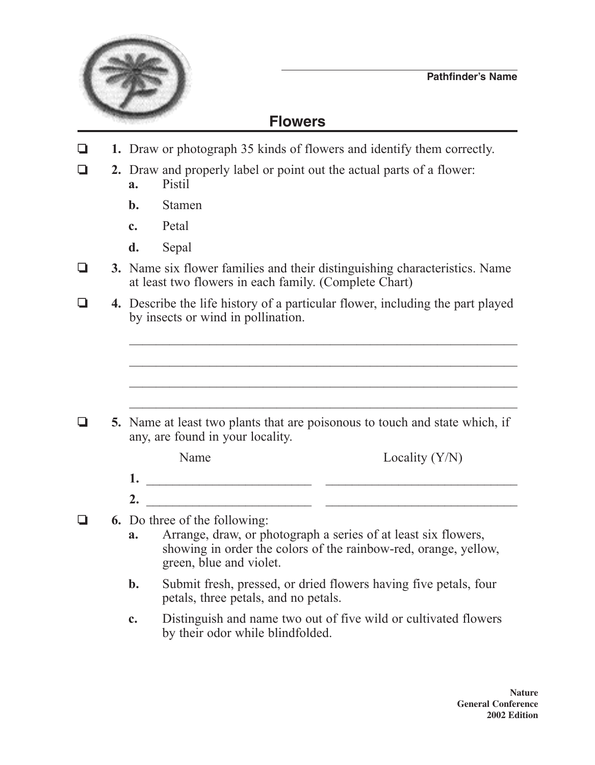

## **Flowers**

- **1.** Draw or photograph 35 kinds of flowers and identify them correctly.
- **2.** Draw and properly label or point out the actual parts of a flower: **a.** Pistil
	- **b.** Stamen
	- **c.** Petal
	- **d.** Sepal
- **3.** Name six flower families and their distinguishing characteristics. Name at least two flowers in each family. (Complete Chart)
- o **4.** Describe the life history of a particular flower, including the part played by insects or wind in pollination.

 $\Box$  5. Name at least two plants that are poisonous to touch and state which, if any, are found in your locality.

|    | Name | Locality $(Y/N)$ |
|----|------|------------------|
| 1. |      |                  |
| 2. |      |                  |

 $\mathcal{L}_\text{max}$  , and the contract of the contract of the contract of the contract of the contract of the contract of the contract of the contract of the contract of the contract of the contract of the contract of the contr

 $\mathcal{L}_\text{max}$  , and the contract of the contract of the contract of the contract of the contract of the contract of the contract of the contract of the contract of the contract of the contract of the contract of the contr

- **4.** 6. Do three of the following:
	- **a.** Arrange, draw, or photograph a series of at least six flowers, showing in order the colors of the rainbow-red, orange, yellow, green, blue and violet.
	- **b.** Submit fresh, pressed, or dried flowers having five petals, four petals, three petals, and no petals.
	- **c.** Distinguish and name two out of five wild or cultivated flowers by their odor while blindfolded.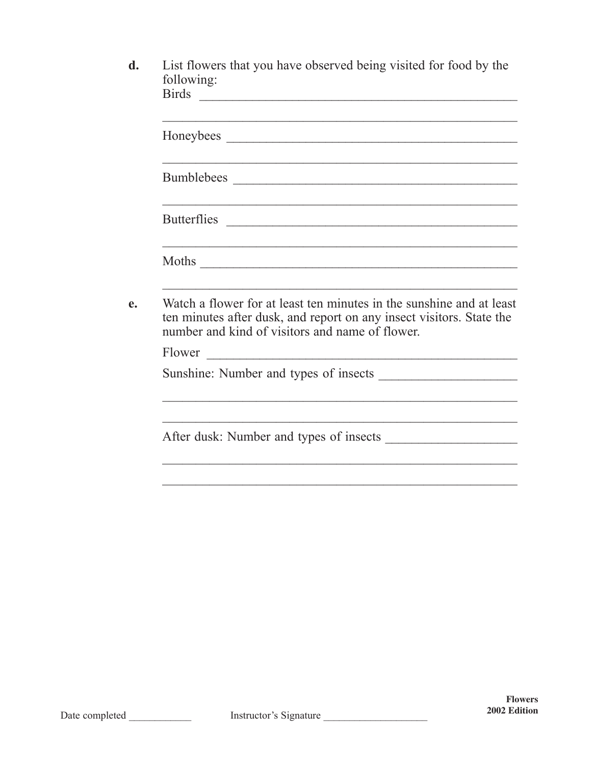| d. | List flowers that you have observed being visited for food by the |
|----|-------------------------------------------------------------------|
|    | following:                                                        |
|    | <b>Birds</b>                                                      |

|        | Moths                                                                                                                                                                                           |
|--------|-------------------------------------------------------------------------------------------------------------------------------------------------------------------------------------------------|
|        | Watch a flower for at least ten minutes in the sunshine and at least<br>ten minutes after dusk, and report on any insect visitors. State the<br>number and kind of visitors and name of flower. |
| Flower |                                                                                                                                                                                                 |
|        |                                                                                                                                                                                                 |
|        |                                                                                                                                                                                                 |
|        |                                                                                                                                                                                                 |
|        |                                                                                                                                                                                                 |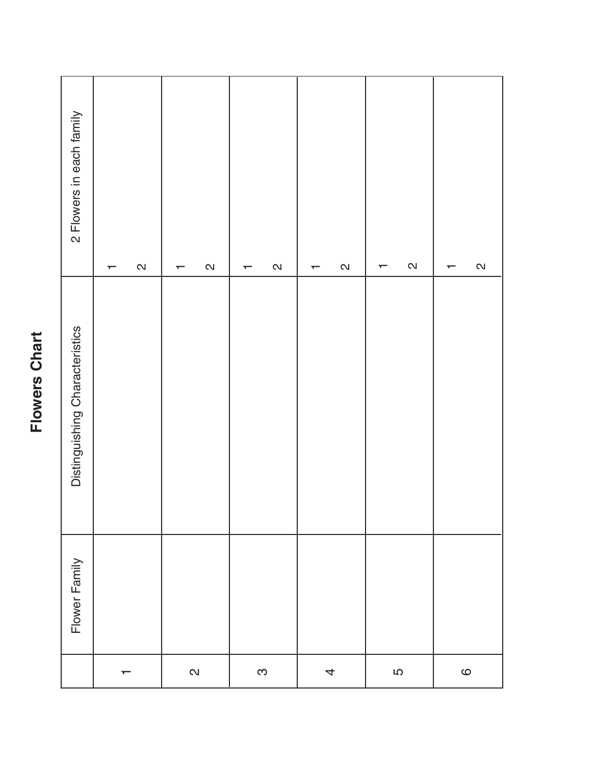## **Flowers Chart Flowers Chart**

| 2 Flowers in each family       | $\mathbf{\Omega}$<br>┯ | $\mathbf{\Omega}$<br>$\overline{\phantom{0}}$ | $\mathbf{\Omega}$<br>$\overline{\phantom{0}}$ | $\mathsf{N}$<br>↽        | $\boldsymbol{\infty}$<br>$\overline{\phantom{0}}$ | $\boldsymbol{\mathsf{N}}$<br>$\overline{\phantom{0}}$ |
|--------------------------------|------------------------|-----------------------------------------------|-----------------------------------------------|--------------------------|---------------------------------------------------|-------------------------------------------------------|
| Distinguishing Characteristics |                        |                                               |                                               |                          |                                                   |                                                       |
| Flower Family                  |                        |                                               |                                               |                          |                                                   |                                                       |
|                                | $\mathbf \tau$         | $\mathbf{\Omega}$                             | S                                             | $\overline{\mathcal{A}}$ | LO                                                | $\circ$                                               |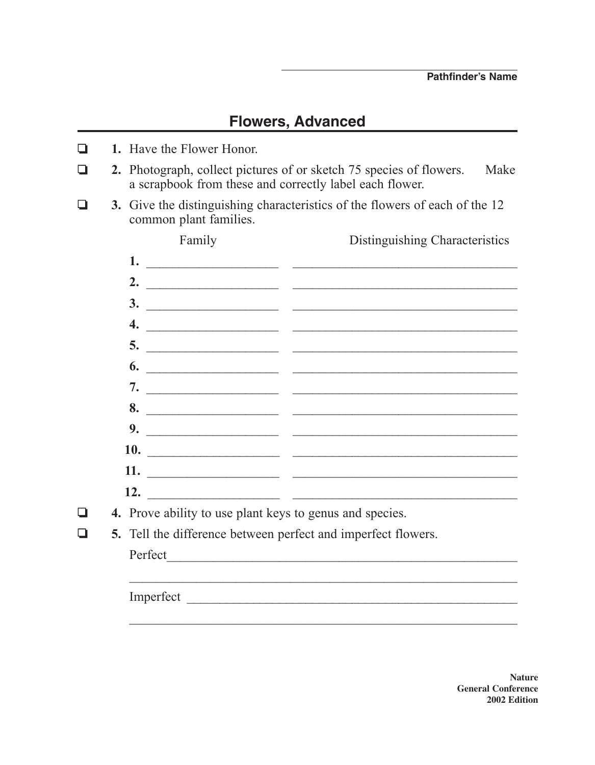## **Flowers, Advanced**

- **1.** Have the Flower Honor.
- **2.** Photograph, collect pictures of or sketch 75 species of flowers. Make a scrapbook from these and correctly label each flower.
- **3.** Give the distinguishing characteristics of the flowers of each of the 12 common plant families.

| Family                                                               | Distinguishing Characteristics                                                                                                                                                                                                    |
|----------------------------------------------------------------------|-----------------------------------------------------------------------------------------------------------------------------------------------------------------------------------------------------------------------------------|
|                                                                      | $\frac{1}{2}$ . The contract of the contract of the contract of the contract of the contract of the contract of the contract of the contract of the contract of the contract of the contract of the contract of the contract of t |
|                                                                      | 2. $\overline{\phantom{a}}$                                                                                                                                                                                                       |
|                                                                      |                                                                                                                                                                                                                                   |
|                                                                      | 4. $\overline{\phantom{a}}$                                                                                                                                                                                                       |
|                                                                      | $\overline{\phantom{a}}$                                                                                                                                                                                                          |
|                                                                      | $\begin{array}{c}\n\bullet \\ \bullet \\ \end{array}$                                                                                                                                                                             |
|                                                                      |                                                                                                                                                                                                                                   |
|                                                                      | 8.                                                                                                                                                                                                                                |
|                                                                      |                                                                                                                                                                                                                                   |
| 10.                                                                  |                                                                                                                                                                                                                                   |
|                                                                      |                                                                                                                                                                                                                                   |
|                                                                      |                                                                                                                                                                                                                                   |
| <b>4.</b> Prove ability to use plant keys to genus and species.      |                                                                                                                                                                                                                                   |
| <b>5.</b> Tell the difference between perfect and imperfect flowers. |                                                                                                                                                                                                                                   |
|                                                                      |                                                                                                                                                                                                                                   |
|                                                                      |                                                                                                                                                                                                                                   |
|                                                                      | Imperfect                                                                                                                                                                                                                         |
|                                                                      |                                                                                                                                                                                                                                   |
|                                                                      |                                                                                                                                                                                                                                   |

**Nature General Conference 2002 Edition**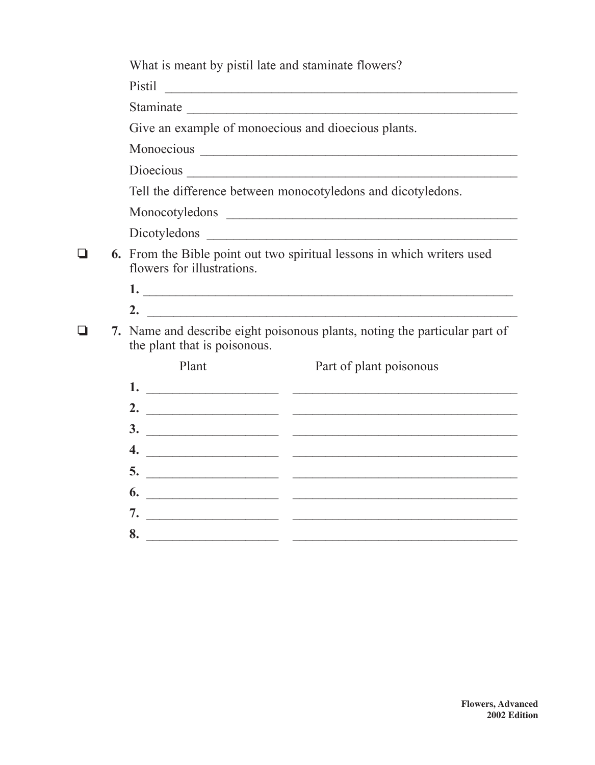|   | What is meant by pistil late and staminate flowers?                                                          |                                                              |  |  |  |
|---|--------------------------------------------------------------------------------------------------------------|--------------------------------------------------------------|--|--|--|
|   |                                                                                                              | Pistil Pistil                                                |  |  |  |
|   |                                                                                                              |                                                              |  |  |  |
|   | Give an example of monoecious and dioecious plants.                                                          |                                                              |  |  |  |
|   |                                                                                                              |                                                              |  |  |  |
|   |                                                                                                              |                                                              |  |  |  |
|   |                                                                                                              | Tell the difference between monocotyledons and dicotyledons. |  |  |  |
|   |                                                                                                              |                                                              |  |  |  |
|   |                                                                                                              |                                                              |  |  |  |
| ❏ | <b>6.</b> From the Bible point out two spiritual lessons in which writers used<br>flowers for illustrations. |                                                              |  |  |  |
|   |                                                                                                              |                                                              |  |  |  |
|   |                                                                                                              |                                                              |  |  |  |
|   | 7. Name and describe eight poisonous plants, noting the particular part of<br>the plant that is poisonous.   |                                                              |  |  |  |
|   | Plant                                                                                                        | Part of plant poisonous                                      |  |  |  |
|   |                                                                                                              |                                                              |  |  |  |
|   |                                                                                                              |                                                              |  |  |  |
|   |                                                                                                              |                                                              |  |  |  |
|   | 4.                                                                                                           | <u> 1989 - Johann Stein, Amerikaansk politiker (d. 1989)</u> |  |  |  |
|   | 5.                                                                                                           |                                                              |  |  |  |
|   | 6.                                                                                                           |                                                              |  |  |  |
|   | 7.                                                                                                           | the property of the control of                               |  |  |  |
|   | 8.<br><u> 1999 - Johann Barbara, martin eta politikar</u>                                                    |                                                              |  |  |  |
|   |                                                                                                              |                                                              |  |  |  |